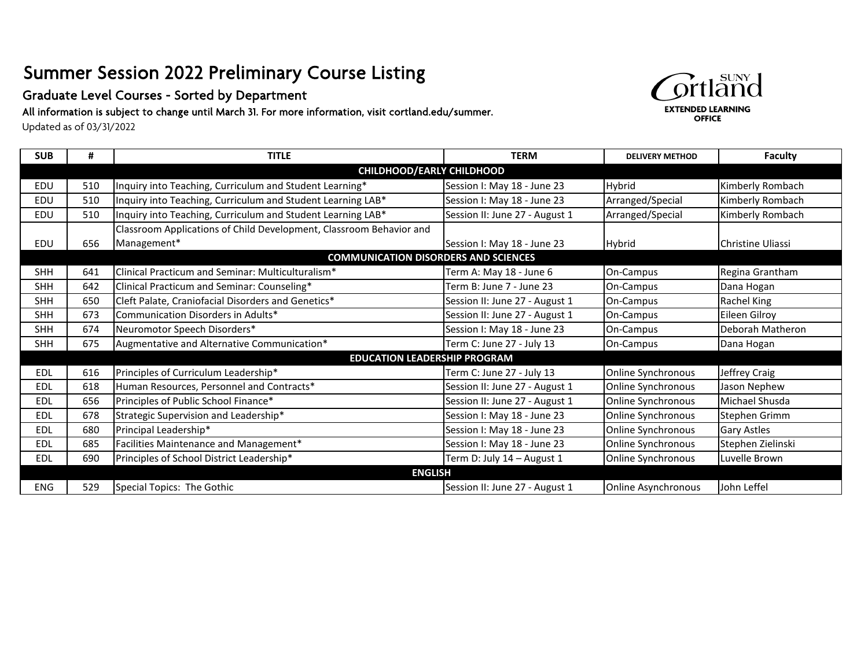## Summer Session 2022 Preliminary Course Listing

Graduate Level Courses - Sorted by Department

All information is subject to change until March 31. For more information, visit cortland.edu/summer.

Updated as of 03/31/2022

| <b>SUB</b>                                  | #   | <b>TITLE</b>                                                        | <b>TERM</b>                    | <b>DELIVERY METHOD</b>     | <b>Faculty</b>     |  |
|---------------------------------------------|-----|---------------------------------------------------------------------|--------------------------------|----------------------------|--------------------|--|
| <b>CHILDHOOD/EARLY CHILDHOOD</b>            |     |                                                                     |                                |                            |                    |  |
| EDU                                         | 510 | Inquiry into Teaching, Curriculum and Student Learning*             | Session I: May 18 - June 23    | Hybrid                     | Kimberly Rombach   |  |
| EDU                                         | 510 | Inquiry into Teaching, Curriculum and Student Learning LAB*         | Session I: May 18 - June 23    | Arranged/Special           | Kimberly Rombach   |  |
| EDU                                         | 510 | Inquiry into Teaching, Curriculum and Student Learning LAB*         | Session II: June 27 - August 1 | Arranged/Special           | Kimberly Rombach   |  |
|                                             |     | Classroom Applications of Child Development, Classroom Behavior and |                                |                            |                    |  |
| EDU                                         | 656 | Management*                                                         | Session I: May 18 - June 23    | Hybrid                     | Christine Uliassi  |  |
| <b>COMMUNICATION DISORDERS AND SCIENCES</b> |     |                                                                     |                                |                            |                    |  |
| <b>SHH</b>                                  | 641 | Clinical Practicum and Seminar: Multiculturalism*                   | Term A: May 18 - June 6        | On-Campus                  | Regina Grantham    |  |
| <b>SHH</b>                                  | 642 | Clinical Practicum and Seminar: Counseling*                         | Term B: June 7 - June 23       | On-Campus                  | Dana Hogan         |  |
| <b>SHH</b>                                  | 650 | Cleft Palate, Craniofacial Disorders and Genetics*                  | Session II: June 27 - August 1 | On-Campus                  | Rachel King        |  |
| <b>SHH</b>                                  | 673 | Communication Disorders in Adults*                                  | Session II: June 27 - August 1 | On-Campus                  | Eileen Gilroy      |  |
| <b>SHH</b>                                  | 674 | Neuromotor Speech Disorders*                                        | Session I: May 18 - June 23    | On-Campus                  | Deborah Matheron   |  |
| <b>SHH</b>                                  | 675 | Augmentative and Alternative Communication*                         | Term C: June 27 - July 13      | On-Campus                  | Dana Hogan         |  |
|                                             |     | <b>EDUCATION LEADERSHIP PROGRAM</b>                                 |                                |                            |                    |  |
| <b>EDL</b>                                  | 616 | Principles of Curriculum Leadership*                                | Term C: June 27 - July 13      | Online Synchronous         | Jeffrey Craig      |  |
| <b>EDL</b>                                  | 618 | Human Resources, Personnel and Contracts*                           | Session II: June 27 - August 1 | Online Synchronous         | Jason Nephew       |  |
| <b>EDL</b>                                  | 656 | Principles of Public School Finance*                                | Session II: June 27 - August 1 | Online Synchronous         | Michael Shusda     |  |
| <b>EDL</b>                                  | 678 | Strategic Supervision and Leadership*                               | Session I: May 18 - June 23    | Online Synchronous         | Stephen Grimm      |  |
| <b>EDL</b>                                  | 680 | Principal Leadership*                                               | Session I: May 18 - June 23    | Online Synchronous         | <b>Gary Astles</b> |  |
| <b>EDL</b>                                  | 685 | Facilities Maintenance and Management*                              | Session I: May 18 - June 23    | Online Synchronous         | Stephen Zielinski  |  |
| <b>EDL</b>                                  | 690 | Principles of School District Leadership*                           | Term D: July 14 - August 1     | Online Synchronous         | Luvelle Brown      |  |
| <b>ENGLISH</b>                              |     |                                                                     |                                |                            |                    |  |
| ENG                                         | 529 | Special Topics: The Gothic                                          | Session II: June 27 - August 1 | <b>Online Asynchronous</b> | John Leffel        |  |

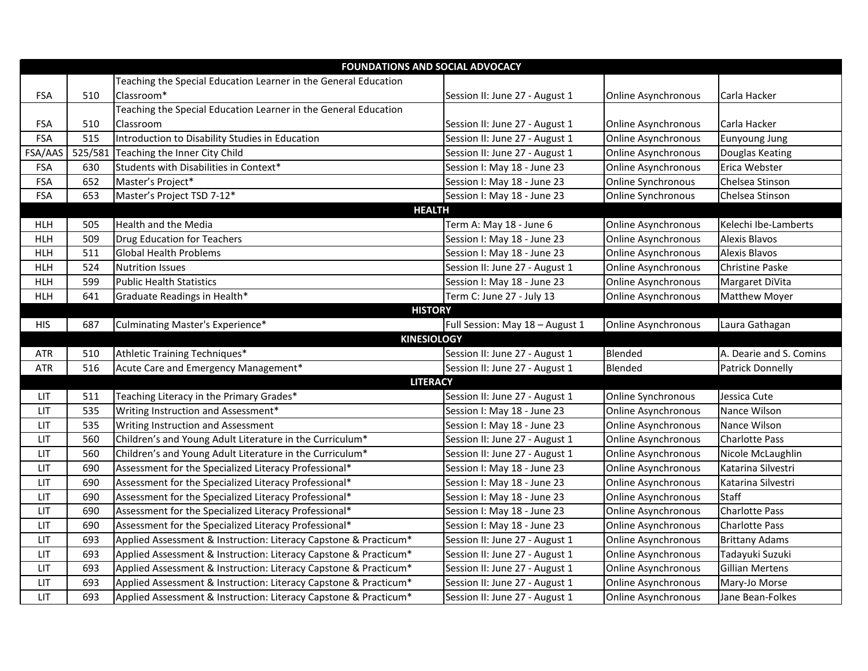| <b>FOUNDATIONS AND SOCIAL ADVOCACY</b> |               |                                                                  |                                 |                            |                         |  |  |
|----------------------------------------|---------------|------------------------------------------------------------------|---------------------------------|----------------------------|-------------------------|--|--|
|                                        |               | Teaching the Special Education Learner in the General Education  |                                 |                            |                         |  |  |
| <b>FSA</b>                             | 510           | Classroom*                                                       | Session II: June 27 - August 1  | Online Asynchronous        | Carla Hacker            |  |  |
|                                        |               | Teaching the Special Education Learner in the General Education  |                                 |                            |                         |  |  |
| <b>FSA</b>                             | 510           | Classroom                                                        | Session II: June 27 - August 1  | <b>Online Asynchronous</b> | Carla Hacker            |  |  |
| <b>FSA</b>                             | 515           | Introduction to Disability Studies in Education                  | Session II: June 27 - August 1  | <b>Online Asynchronous</b> | Eunyoung Jung           |  |  |
| FSA/AAS                                | 525/581       | Teaching the Inner City Child                                    | Session II: June 27 - August 1  | <b>Online Asynchronous</b> | Douglas Keating         |  |  |
| <b>FSA</b>                             | 630           | Students with Disabilities in Context*                           | Session I: May 18 - June 23     | <b>Online Asynchronous</b> | Erica Webster           |  |  |
| <b>FSA</b>                             | 652           | Master's Project*                                                | Session I: May 18 - June 23     | Online Synchronous         | Chelsea Stinson         |  |  |
| <b>FSA</b>                             | 653           | Master's Project TSD 7-12*                                       | Session I: May 18 - June 23     | Online Synchronous         | Chelsea Stinson         |  |  |
|                                        | <b>HEALTH</b> |                                                                  |                                 |                            |                         |  |  |
| <b>HLH</b>                             | 505           | <b>Health and the Media</b>                                      | Term A: May 18 - June 6         | Online Asynchronous        | Kelechi Ibe-Lamberts    |  |  |
| <b>HLH</b>                             | 509           | <b>Drug Education for Teachers</b>                               | Session I: May 18 - June 23     | Online Asynchronous        | Alexis Blavos           |  |  |
| <b>HLH</b>                             | 511           | <b>Global Health Problems</b>                                    | Session I: May 18 - June 23     | Online Asynchronous        | <b>Alexis Blavos</b>    |  |  |
| <b>HLH</b>                             | 524           | <b>Nutrition Issues</b>                                          | Session II: June 27 - August 1  | Online Asynchronous        | <b>Christine Paske</b>  |  |  |
| <b>HLH</b>                             | 599           | <b>Public Health Statistics</b>                                  | Session I: May 18 - June 23     | Online Asynchronous        | Margaret DiVita         |  |  |
| <b>HLH</b>                             | 641           | Graduate Readings in Health*                                     | Term C: June 27 - July 13       | Online Asynchronous        | Matthew Moyer           |  |  |
|                                        |               | <b>HISTORY</b>                                                   |                                 |                            |                         |  |  |
| <b>HIS</b>                             | 687           | Culminating Master's Experience*                                 | Full Session: May 18 - August 1 | Online Asynchronous        | Laura Gathagan          |  |  |
|                                        |               | <b>KINESIOLOGY</b>                                               |                                 |                            |                         |  |  |
| <b>ATR</b>                             | 510           | Athletic Training Techniques*                                    | Session II: June 27 - August 1  | Blended                    | A. Dearie and S. Comins |  |  |
| <b>ATR</b>                             | 516           | Acute Care and Emergency Management*                             | Session II: June 27 - August 1  | Blended                    | <b>Patrick Donnelly</b> |  |  |
|                                        |               | <b>LITERACY</b>                                                  |                                 |                            |                         |  |  |
| LIT                                    | 511           | Teaching Literacy in the Primary Grades*                         | Session II: June 27 - August 1  | Online Synchronous         | Jessica Cute            |  |  |
| LIT                                    | 535           | Writing Instruction and Assessment*                              | Session I: May 18 - June 23     | <b>Online Asynchronous</b> | Nance Wilson            |  |  |
| LIT                                    | 535           | Writing Instruction and Assessment                               | Session I: May 18 - June 23     | <b>Online Asynchronous</b> | Nance Wilson            |  |  |
| LIT                                    | 560           | Children's and Young Adult Literature in the Curriculum*         | Session II: June 27 - August 1  | <b>Online Asynchronous</b> | <b>Charlotte Pass</b>   |  |  |
| LIT                                    | 560           | Children's and Young Adult Literature in the Curriculum*         | Session II: June 27 - August 1  | <b>Online Asynchronous</b> | Nicole McLaughlin       |  |  |
| LIT                                    | 690           | Assessment for the Specialized Literacy Professional*            | Session I: May 18 - June 23     | Online Asynchronous        | Katarina Silvestri      |  |  |
| LIT                                    | 690           | Assessment for the Specialized Literacy Professional*            | Session I: May 18 - June 23     | <b>Online Asynchronous</b> | Katarina Silvestri      |  |  |
| LIT                                    | 690           | Assessment for the Specialized Literacy Professional*            | Session I: May 18 - June 23     | Online Asynchronous        | <b>Staff</b>            |  |  |
| LIT                                    | 690           | Assessment for the Specialized Literacy Professional*            | Session I: May 18 - June 23     | <b>Online Asynchronous</b> | <b>Charlotte Pass</b>   |  |  |
| LIT                                    | 690           | Assessment for the Specialized Literacy Professional*            | Session I: May 18 - June 23     | <b>Online Asynchronous</b> | <b>Charlotte Pass</b>   |  |  |
| LIT                                    | 693           | Applied Assessment & Instruction: Literacy Capstone & Practicum* | Session II: June 27 - August 1  | <b>Online Asynchronous</b> | <b>Brittany Adams</b>   |  |  |
| LIT                                    | 693           | Applied Assessment & Instruction: Literacy Capstone & Practicum* | Session II: June 27 - August 1  | <b>Online Asynchronous</b> | Tadayuki Suzuki         |  |  |
| LIT                                    | 693           | Applied Assessment & Instruction: Literacy Capstone & Practicum* | Session II: June 27 - August 1  | Online Asynchronous        | <b>Gillian Mertens</b>  |  |  |
| LIT                                    | 693           | Applied Assessment & Instruction: Literacy Capstone & Practicum* | Session II: June 27 - August 1  | <b>Online Asynchronous</b> | Mary-Jo Morse           |  |  |
| LIT                                    | 693           | Applied Assessment & Instruction: Literacy Capstone & Practicum* | Session II: June 27 - August 1  | Online Asynchronous        | Jane Bean-Folkes        |  |  |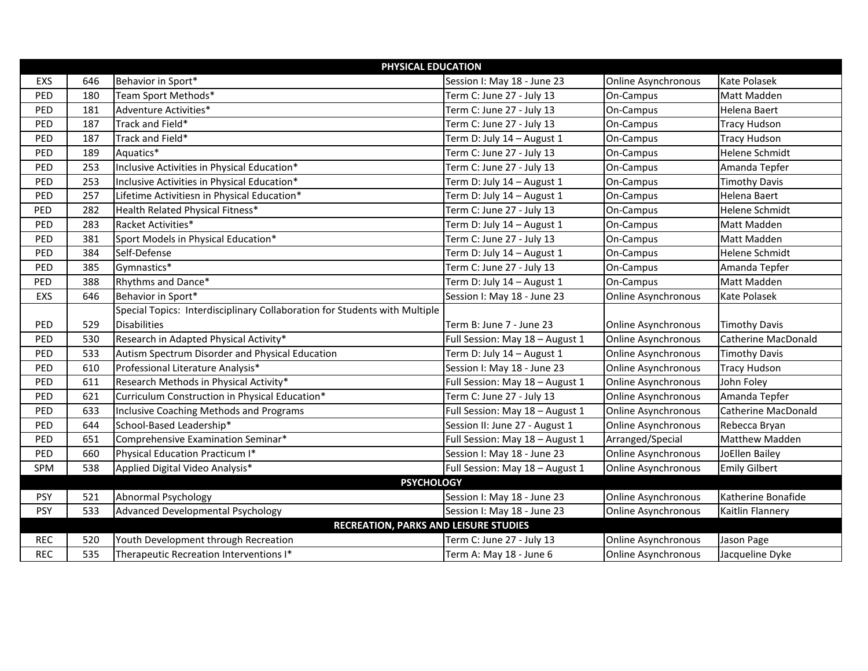| PHYSICAL EDUCATION                           |     |                                                                            |                                 |                            |                            |  |
|----------------------------------------------|-----|----------------------------------------------------------------------------|---------------------------------|----------------------------|----------------------------|--|
| EXS                                          | 646 | Behavior in Sport*                                                         | Session I: May 18 - June 23     | <b>Online Asynchronous</b> | Kate Polasek               |  |
| PED                                          | 180 | Team Sport Methods*                                                        | Term C: June 27 - July 13       | On-Campus                  | <b>Matt Madden</b>         |  |
| PED                                          | 181 | Adventure Activities*                                                      | Term C: June 27 - July 13       | On-Campus                  | Helena Baert               |  |
| PED                                          | 187 | Track and Field*                                                           | Term C: June 27 - July 13       | On-Campus                  | <b>Tracy Hudson</b>        |  |
| PED                                          | 187 | Track and Field*                                                           | Term D: July 14 - August 1      | On-Campus                  | <b>Tracy Hudson</b>        |  |
| PED                                          | 189 | Aquatics*                                                                  | Term C: June 27 - July 13       | On-Campus                  | <b>Helene Schmidt</b>      |  |
| PED                                          | 253 | Inclusive Activities in Physical Education*                                | Term C: June 27 - July 13       | On-Campus                  | Amanda Tepfer              |  |
| PED                                          | 253 | Inclusive Activities in Physical Education*                                | Term D: July 14 - August 1      | On-Campus                  | <b>Timothy Davis</b>       |  |
| PED                                          | 257 | Lifetime Activitiesn in Physical Education*                                | Term D: July 14 - August 1      | On-Campus                  | Helena Baert               |  |
| PED                                          | 282 | Health Related Physical Fitness*                                           | Term C: June 27 - July 13       | On-Campus                  | <b>Helene Schmidt</b>      |  |
| PED                                          | 283 | Racket Activities*                                                         | Term D: July 14 - August 1      | On-Campus                  | Matt Madden                |  |
| PED                                          | 381 | Sport Models in Physical Education*                                        | Term C: June 27 - July 13       | On-Campus                  | Matt Madden                |  |
| PED                                          | 384 | Self-Defense                                                               | Term D: July 14 - August 1      | On-Campus                  | <b>Helene Schmidt</b>      |  |
| PED                                          | 385 | Gymnastics*                                                                | Term C: June 27 - July 13       | On-Campus                  | Amanda Tepfer              |  |
| PED                                          | 388 | Rhythms and Dance*                                                         | Term D: July 14 - August 1      | On-Campus                  | Matt Madden                |  |
| EXS                                          | 646 | Behavior in Sport*                                                         | Session I: May 18 - June 23     | Online Asynchronous        | Kate Polasek               |  |
|                                              |     | Special Topics: Interdisciplinary Collaboration for Students with Multiple |                                 |                            |                            |  |
| PED                                          | 529 | <b>Disabilities</b>                                                        | Term B: June 7 - June 23        | <b>Online Asynchronous</b> | <b>Timothy Davis</b>       |  |
| PED                                          | 530 | Research in Adapted Physical Activity*                                     | Full Session: May 18 - August 1 | Online Asynchronous        | <b>Catherine MacDonald</b> |  |
| PED                                          | 533 | Autism Spectrum Disorder and Physical Education                            | Term D: July 14 - August 1      | <b>Online Asynchronous</b> | <b>Timothy Davis</b>       |  |
| PED                                          | 610 | Professional Literature Analysis*                                          | Session I: May 18 - June 23     | <b>Online Asynchronous</b> | <b>Tracy Hudson</b>        |  |
| PED                                          | 611 | Research Methods in Physical Activity*                                     | Full Session: May 18 - August 1 | <b>Online Asynchronous</b> | John Foley                 |  |
| PED                                          | 621 | Curriculum Construction in Physical Education*                             | Term C: June 27 - July 13       | <b>Online Asynchronous</b> | Amanda Tepfer              |  |
| PED                                          | 633 | Inclusive Coaching Methods and Programs                                    | Full Session: May 18 - August 1 | <b>Online Asynchronous</b> | Catherine MacDonald        |  |
| PED                                          | 644 | School-Based Leadership*                                                   | Session II: June 27 - August 1  | Online Asynchronous        | Rebecca Bryan              |  |
| PED                                          | 651 | Comprehensive Examination Seminar*                                         | Full Session: May 18 - August 1 | Arranged/Special           | Matthew Madden             |  |
| PED                                          | 660 | Physical Education Practicum I*                                            | Session I: May 18 - June 23     | <b>Online Asynchronous</b> | JoEllen Bailey             |  |
| SPM                                          | 538 | Applied Digital Video Analysis*                                            | Full Session: May 18 - August 1 | Online Asynchronous        | <b>Emily Gilbert</b>       |  |
| <b>PSYCHOLOGY</b>                            |     |                                                                            |                                 |                            |                            |  |
| <b>PSY</b>                                   | 521 | Abnormal Psychology                                                        | Session I: May 18 - June 23     | Online Asynchronous        | Katherine Bonafide         |  |
| <b>PSY</b>                                   | 533 | Advanced Developmental Psychology                                          | Session I: May 18 - June 23     | Online Asynchronous        | Kaitlin Flannery           |  |
| <b>RECREATION, PARKS AND LEISURE STUDIES</b> |     |                                                                            |                                 |                            |                            |  |
| <b>REC</b>                                   | 520 | Youth Development through Recreation                                       | Term C: June 27 - July 13       | Online Asynchronous        | Jason Page                 |  |
| <b>REC</b>                                   | 535 | Therapeutic Recreation Interventions I*                                    | Term A: May 18 - June 6         | Online Asynchronous        | Jacqueline Dyke            |  |